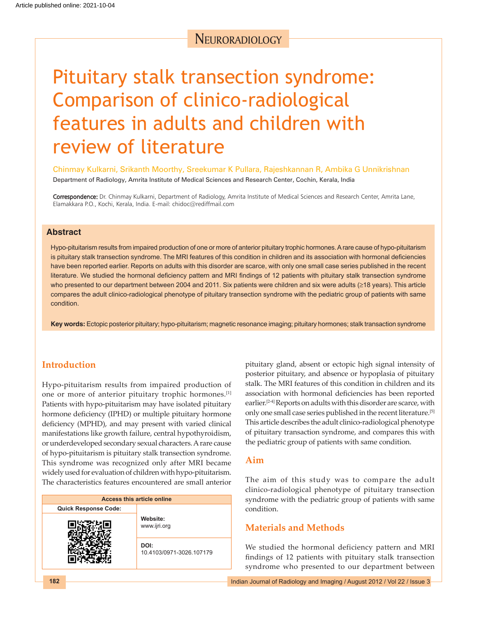# **NEURORADIOLOGY**

# Pituitary stalk transection syndrome: Comparison of clinico‑radiological features in adults and children with review of literature

Chinmay Kulkarni, Srikanth Moorthy, Sreekumar K Pullara, Rajeshkannan R, Ambika G Unnikrishnan

Department of Radiology, Amrita Institute of Medical Sciences and Research Center, Cochin, Kerala, India

Correspondence: Dr. Chinmay Kulkarni, Department of Radiology, Amrita Institute of Medical Sciences and Research Center, Amrita Lane, Elamakkara P.O., Kochi, Kerala, India. E‑mail: chidoc@rediffmail.com

## **Abstract**

Hypo-pituitarism results from impaired production of one or more of anterior pituitary trophic hormones. A rare cause of hypo-pituitarism is pituitary stalk transection syndrome. The MRI features of this condition in children and its association with hormonal deficiencies have been reported earlier. Reports on adults with this disorder are scarce, with only one small case series published in the recent literature. We studied the hormonal deficiency pattern and MRI findings of 12 patients with pituitary stalk transection syndrome who presented to our department between 2004 and 2011. Six patients were children and six were adults (≥18 years). This article compares the adult clinico‑radiological phenotype of pituitary transection syndrome with the pediatric group of patients with same condition.

Key words: Ectopic posterior pituitary; hypo-pituitarism; magnetic resonance imaging; pituitary hormones; stalk transaction syndrome

# **Introduction**

Hypo-pituitarism results from impaired production of one or more of anterior pituitary trophic hormones.[1] Patients with hypo-pituitarism may have isolated pituitary hormone deficiency (IPHD) or multiple pituitary hormone deficiency (MPHD), and may present with varied clinical manifestations like growth failure, central hypothyroidism, or underdeveloped secondary sexual characters. Arare cause of hypo-pituitarism is pituitary stalk transection syndrome. This syndrome was recognized only after MRI became widely used for evaluation of children with hypo-pituitarism. The characteristics features encountered are small anterior

| <b>Access this article online</b> |                                  |  |  |  |
|-----------------------------------|----------------------------------|--|--|--|
| Quick Response Code:              |                                  |  |  |  |
|                                   | Website:<br>www.ijri.org         |  |  |  |
|                                   | DOI:<br>10.4103/0971-3026.107179 |  |  |  |

pituitary gland, absent or ectopic high signal intensity of posterior pituitary, and absence or hypoplasia of pituitary stalk. The MRI features of this condition in children and its association with hormonal deficiencies has been reported earlier.[2-4] Reports on adults with this disorder are scarce, with only one small case series published in the recent literature.[5] This article describes the adult clinico-radiological phenotype of pituitary transaction syndrome, and compares this with the pediatric group of patients with same condition.

## **Aim**

The aim of this study was to compare the adult clinico-radiological phenotype of pituitary transection syndrome with the pediatric group of patients with same condition.

# **Materials and Methods**

We studied the hormonal deficiency pattern and MRI findings of 12 patients with pituitary stalk transection syndrome who presented to our department between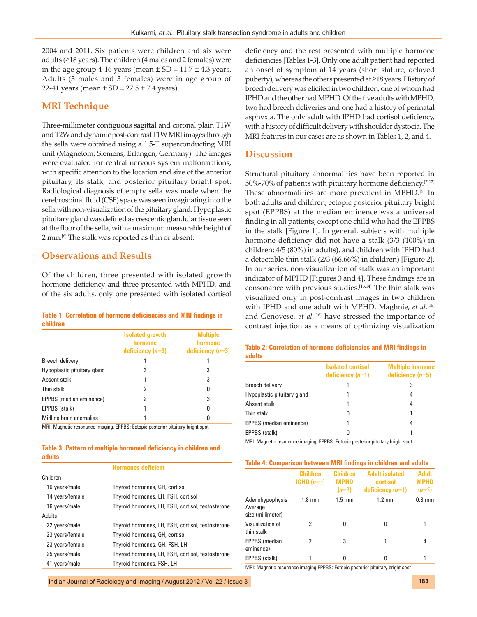2004 and 2011. Six patients were children and six were adults (≥18 years). The children (4 males and 2 females) were in the age group 4-16 years (mean  $\pm$  SD = 11.7  $\pm$  4.3 years. Adults (3 males and 3 females) were in age group of 22-41 years (mean  $\pm$  SD = 27.5  $\pm$  7.4 years).

# **MRI Technique**

Three‑millimeter contiguous sagittal and coronal plain T1W and T2W and dynamic post-contrast T1W MRI images through the sella were obtained using a 1.5‑T superconducting MRI unit (Magnetom; Siemens, Erlangen, Germany). The images were evaluated for central nervous system malformations, with specific attention to the location and size of the anterior pituitary, its stalk, and posterior pituitary bright spot. Radiological diagnosis of empty sella was made when the cerebrospinal fluid(CSF) space was seen invaginating into the sella with non-visualization of the pituitary gland. Hypoplastic pituitary gland was defined as crescentic glandular tissue seen at the floor of the sella, with a maximum measurable height of 2 mm.[6] The stalk was reported as thin or absent.

# **Observations and Results**

Of the children, three presented with isolated growth hormone deficiency and three presented with MPHD, and of the six adults, only one presented with isolated cortisol

#### **Table 1: Correlation of hormone deficiencies and MRI findings in children**

|                             | <b>Isolated growth</b><br>hormone<br>deficiency $(n=3)$ | <b>Multiple</b><br>hormone<br>deficiency $(n=3)$ |
|-----------------------------|---------------------------------------------------------|--------------------------------------------------|
| Breech delivery             |                                                         |                                                  |
| Hypoplastic pituitary gland | 3                                                       | 3                                                |
| Absent stalk                |                                                         | 3                                                |
| Thin stalk                  | 2                                                       | 0                                                |
| EPPBS (median eminence)     | 2                                                       | 3                                                |
| EPPBS (stalk)               |                                                         | 0                                                |
| Midline brain anomalies     |                                                         |                                                  |

MRI: Magnetic resonance imaging, EPPBS: Ectopic posterior pituitary bright spot

#### **Table 3: Pattern of multiple hormonal deficiency in children and adults**

**Hormones deficient**

| Children        |                                                   |
|-----------------|---------------------------------------------------|
| 10 years/male   | Thyroid hormones, GH, cortisol                    |
| 14 years/female | Thyroid hormones, LH, FSH, cortisol               |
| 16 years/male   | Thyroid hormones, LH, FSH, cortisol, testosterone |
| Adults          |                                                   |
| 22 years/male   | Thyroid hormones, LH, FSH, cortisol, testosterone |
| 23 years/female | Thyroid hormones, GH, cortisol                    |
| 23 years/female | Thyroid hormones, GH, FSH, LH                     |
| 25 years/male   | Thyroid hormones, LH, FSH, cortisol, testosterone |
| 41 years/male   | Thyroid hormones, FSH, LH                         |
|                 |                                                   |

deficiency and the rest presented with multiple hormone deficiencies [Tables 1-3]. Only one adult patient had reported an onset of symptom at 14 years (short stature, delayed puberty), whereas the others presented at ≥18years. History of breech delivery was elicited in two children, one of whom had IPHD and the other had MPHD. Of the five adults with MPHD, two had breech deliveries and one had a history of perinatal asphyxia. The only adult with IPHD had cortisol deficiency, with a history of difficult delivery with shoulder dystocia. The MRI features in our cases are as shown in Tables 1, 2, and 4.

## **Discussion**

Structural pituitary abnormalities have been reported in 50%-70% of patients with pituitary hormone deficiency.<sup>[7-12]</sup> These abnormalities are more prevalent in MPHD.[9] In both adults and children, ectopic posterior pituitary bright spot (EPPBS) at the median eminence was a universal finding in all patients, except one child who had the EPPBS in the stalk [Figure 1]. In general, subjects with multiple hormone deficiency did not have a stalk (3/3 (100%) in children; 4/5 (80%) in adults), and children with IPHD had a detectable thin stalk (2/3 (66.66%) in children) [Figure 2]. In our series, non‑visualization of stalk was an important indicator of MPHD [Figures 3 and 4]. These findings are in consonance with previous studies.[13,14] The thin stalk was visualized only in post-contrast images in two children with IPHD and one adult with MPHD. Maghnie, *et al.*[15] and Genovese, *et al.*[16] have stressed the importance of contrast injection as a means of optimizing visualization

#### **Table 2: Correlation of hormone deficiencies and MRI findings in adults**

|                             | <b>Isolated cortisol</b><br>deficiency $(n=1)$ | <b>Multiple hormone</b><br>deficiency $(n=5)$ |
|-----------------------------|------------------------------------------------|-----------------------------------------------|
| Breech delivery             |                                                |                                               |
| Hypoplastic pituitary gland |                                                |                                               |
| Absent stalk                |                                                |                                               |
| Thin stalk                  | 0                                              |                                               |
| EPPBS (median eminence)     |                                                |                                               |
| EPPBS (stalk)               | 0                                              |                                               |

MRI: Magnetic resonance imaging, EPPBS: Ectopic posterior pituitary bright spot

# **Table 4: Comparison between MRI findings in children and adults**

|                                                 | <b>Children</b><br>$IGHD(n=3)$ | <b>Children</b><br><b>MPHD</b><br>$(n=3)$ | <b>Adult isolated</b><br>cortisol<br>deficiency $(n=1)$ | <b>Adult</b><br><b>MPHD</b><br>$(n=5)$ |
|-------------------------------------------------|--------------------------------|-------------------------------------------|---------------------------------------------------------|----------------------------------------|
| Adenohypophysis<br>Average<br>size (millimeter) | $1.8 \text{ mm}$               | $1.5 \text{ mm}$                          | $1.2 \text{ mm}$                                        | $0.8$ mm                               |
| Visualization of<br>thin stalk                  | 2                              | O                                         | 0                                                       |                                        |
| <b>EPPBS</b> (median<br>eminence)               | 2                              | 3                                         | 1                                                       | 4                                      |
| EPPBS (stalk)<br>                               |                                | 0<br>r                                    | 0<br>.<br>.                                             |                                        |

MRI: Magnetic resonance imaging EPPBS: Ectopic posterior pituitary bright spot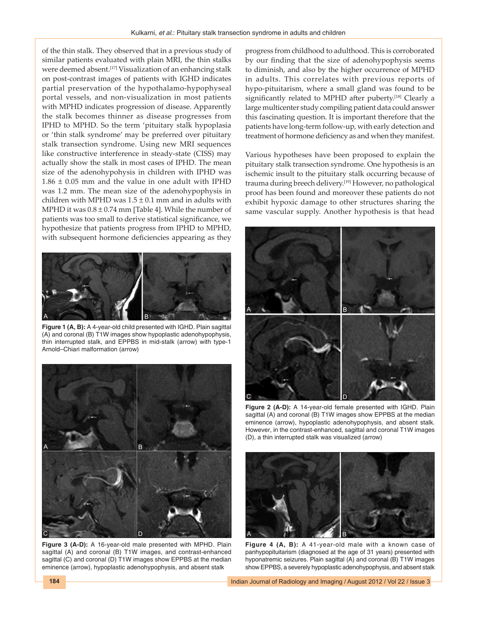of the thin stalk. They observed that in a previous study of similar patients evaluated with plain MRI, the thin stalks were deemed absent.[17] Visualization of an enhancing stalk on post‑contrast images of patients with IGHD indicates partial preservation of the hypothalamo-hypophyseal portal vessels, and non‑visualization in most patients with MPHD indicates progression of disease. Apparently the stalk becomes thinner as disease progresses from IPHD to MPHD. So the term 'pituitary stalk hypoplasia or 'thin stalk syndrome' may be preferred over pituitary stalk transection syndrome. Using new MRI sequences like constructive interference in steady‑state (CISS) may actually show the stalk in most cases of IPHD. The mean size of the adenohypohysis in children with IPHD was  $1.86 \pm 0.05$  mm and the value in one adult with IPHD was 1.2 mm. The mean size of the adenohypophysis in children with MPHD was  $1.5 \pm 0.1$  mm and in adults with MPHD it was  $0.8 \pm 0.74$  mm [Table 4]. While the number of patients was too small to derive statistical significance, we hypothesize that patients progress from IPHD to MPHD, with subsequent hormone deficiencies appearing as they



**Figure 1 (A, B):** A 4-year-old child presented with IGHD. Plain sagittal (A) and coronal (B) T1W images show hypoplastic adenohypophysis, thin interrupted stalk, and EPPBS in mid-stalk (arrow) with type-1 Arnold–Chiari malformation (arrow)



**Figure 3 (A-D):** A 16‑year‑old male presented with MPHD. Plain sagittal (A) and coronal (B) T1W images, and contrast-enhanced sagittal (C) and coronal (D) T1W images show EPPBS at the median eminence (arrow), hypoplastic adenohypophysis, and absent stalk

progress from childhood to adulthood. This is corroborated by our finding that the size of adenohypophysis seems to diminish, and also by the higher occurrence of MPHD in adults. This correlates with previous reports of hypo-pituitarism, where a small gland was found to be significantly related to MPHD after puberty.<sup>[18]</sup> Clearly a large multicenter study compiling patient data could answer this fascinating question. It is important therefore that the patients have long‑term follow‑up, with early detection and treatment of hormone deficiency as and when they manifest.

Various hypotheses have been proposed to explain the pituitary stalk transection syndrome. One hypothesis is an ischemic insult to the pituitary stalk occurring because of trauma during breech delivery.<sup>[19]</sup> However, no pathological proof has been found and moreover these patients do not exhibit hypoxic damage to other structures sharing the same vascular supply. Another hypothesis is that head



**Figure 2 (A-D):** A 14-year-old female presented with IGHD. Plain sagittal (A) and coronal (B) T1W images show EPPBS at the median eminence (arrow), hypoplastic adenohypophysis, and absent stalk. However, in the contrast-enhanced, sagittal and coronal T1W images (D), a thin interrupted stalk was visualized (arrow)



**Figure 4 (A, B):** A 41-year-old male with a known case of panhypopituitarism (diagnosed at the age of 31 years) presented with hyponatremic seizures. Plain sagittal (A) and coronal (B) T1W images show EPPBS, a severely hypoplastic adenohypophysis, and absent stalk

**184** Indian Journal of Radiology and Imaging / August 2012 / Vol 22 / Issue 3